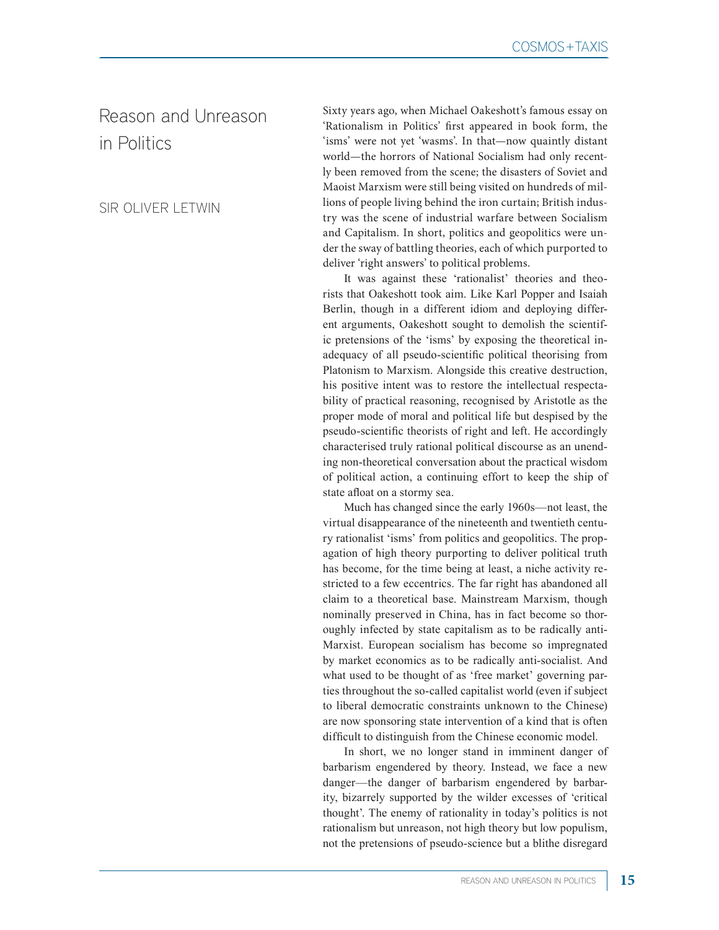## Reason and Unreason in Politics

SIR OLIVER LETWIN

Sixty years ago, when Michael Oakeshott's famous essay on 'Rationalism in Politics' first appeared in book form, the 'isms' were not yet 'wasms'. In that—now quaintly distant world—the horrors of National Socialism had only recently been removed from the scene; the disasters of Soviet and Maoist Marxism were still being visited on hundreds of millions of people living behind the iron curtain; British industry was the scene of industrial warfare between Socialism and Capitalism. In short, politics and geopolitics were under the sway of battling theories, each of which purported to deliver 'right answers' to political problems.

It was against these 'rationalist' theories and theorists that Oakeshott took aim. Like Karl Popper and Isaiah Berlin, though in a different idiom and deploying different arguments, Oakeshott sought to demolish the scientific pretensions of the 'isms' by exposing the theoretical inadequacy of all pseudo-scientific political theorising from Platonism to Marxism. Alongside this creative destruction, his positive intent was to restore the intellectual respectability of practical reasoning, recognised by Aristotle as the proper mode of moral and political life but despised by the pseudo-scientific theorists of right and left. He accordingly characterised truly rational political discourse as an unending non-theoretical conversation about the practical wisdom of political action, a continuing effort to keep the ship of state afloat on a stormy sea.

Much has changed since the early 1960s—not least, the virtual disappearance of the nineteenth and twentieth century rationalist 'isms' from politics and geopolitics. The propagation of high theory purporting to deliver political truth has become, for the time being at least, a niche activity restricted to a few eccentrics. The far right has abandoned all claim to a theoretical base. Mainstream Marxism, though nominally preserved in China, has in fact become so thoroughly infected by state capitalism as to be radically anti-Marxist. European socialism has become so impregnated by market economics as to be radically anti-socialist. And what used to be thought of as 'free market' governing parties throughout the so-called capitalist world (even if subject to liberal democratic constraints unknown to the Chinese) are now sponsoring state intervention of a kind that is often difficult to distinguish from the Chinese economic model.

In short, we no longer stand in imminent danger of barbarism engendered by theory. Instead, we face a new danger—the danger of barbarism engendered by barbarity, bizarrely supported by the wilder excesses of 'critical thought'. The enemy of rationality in today's politics is not rationalism but unreason, not high theory but low populism, not the pretensions of pseudo-science but a blithe disregard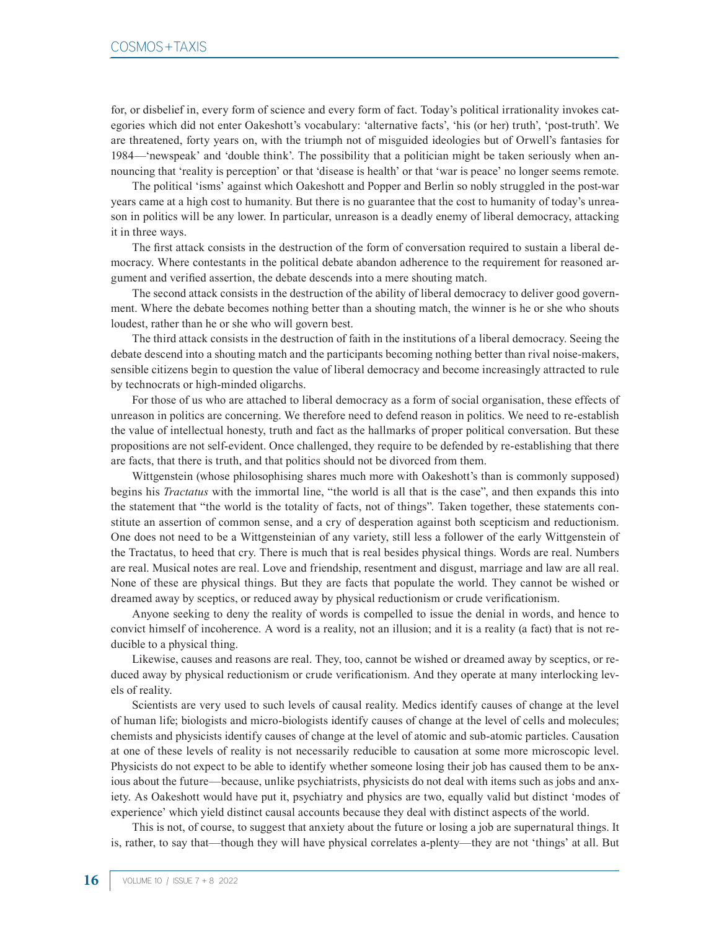for, or disbelief in, every form of science and every form of fact. Today's political irrationality invokes categories which did not enter Oakeshott's vocabulary: 'alternative facts', 'his (or her) truth', 'post-truth'. We are threatened, forty years on, with the triumph not of misguided ideologies but of Orwell's fantasies for 1984—'newspeak' and 'double think'. The possibility that a politician might be taken seriously when announcing that 'reality is perception' or that 'disease is health' or that 'war is peace' no longer seems remote.

The political 'isms' against which Oakeshott and Popper and Berlin so nobly struggled in the post-war years came at a high cost to humanity. But there is no guarantee that the cost to humanity of today's unreason in politics will be any lower. In particular, unreason is a deadly enemy of liberal democracy, attacking it in three ways.

The first attack consists in the destruction of the form of conversation required to sustain a liberal democracy. Where contestants in the political debate abandon adherence to the requirement for reasoned argument and verified assertion, the debate descends into a mere shouting match.

The second attack consists in the destruction of the ability of liberal democracy to deliver good government. Where the debate becomes nothing better than a shouting match, the winner is he or she who shouts loudest, rather than he or she who will govern best.

The third attack consists in the destruction of faith in the institutions of a liberal democracy. Seeing the debate descend into a shouting match and the participants becoming nothing better than rival noise-makers, sensible citizens begin to question the value of liberal democracy and become increasingly attracted to rule by technocrats or high-minded oligarchs.

For those of us who are attached to liberal democracy as a form of social organisation, these effects of unreason in politics are concerning. We therefore need to defend reason in politics. We need to re-establish the value of intellectual honesty, truth and fact as the hallmarks of proper political conversation. But these propositions are not self-evident. Once challenged, they require to be defended by re-establishing that there are facts, that there is truth, and that politics should not be divorced from them.

Wittgenstein (whose philosophising shares much more with Oakeshott's than is commonly supposed) begins his *Tractatus* with the immortal line, "the world is all that is the case", and then expands this into the statement that "the world is the totality of facts, not of things". Taken together, these statements constitute an assertion of common sense, and a cry of desperation against both scepticism and reductionism. One does not need to be a Wittgensteinian of any variety, still less a follower of the early Wittgenstein of the Tractatus, to heed that cry. There is much that is real besides physical things. Words are real. Numbers are real. Musical notes are real. Love and friendship, resentment and disgust, marriage and law are all real. None of these are physical things. But they are facts that populate the world. They cannot be wished or dreamed away by sceptics, or reduced away by physical reductionism or crude verificationism.

Anyone seeking to deny the reality of words is compelled to issue the denial in words, and hence to convict himself of incoherence. A word is a reality, not an illusion; and it is a reality (a fact) that is not reducible to a physical thing.

Likewise, causes and reasons are real. They, too, cannot be wished or dreamed away by sceptics, or reduced away by physical reductionism or crude verificationism. And they operate at many interlocking levels of reality.

Scientists are very used to such levels of causal reality. Medics identify causes of change at the level of human life; biologists and micro-biologists identify causes of change at the level of cells and molecules; chemists and physicists identify causes of change at the level of atomic and sub-atomic particles. Causation at one of these levels of reality is not necessarily reducible to causation at some more microscopic level. Physicists do not expect to be able to identify whether someone losing their job has caused them to be anxious about the future—because, unlike psychiatrists, physicists do not deal with items such as jobs and anxiety. As Oakeshott would have put it, psychiatry and physics are two, equally valid but distinct 'modes of experience' which yield distinct causal accounts because they deal with distinct aspects of the world.

This is not, of course, to suggest that anxiety about the future or losing a job are supernatural things. It is, rather, to say that—though they will have physical correlates a-plenty—they are not 'things' at all. But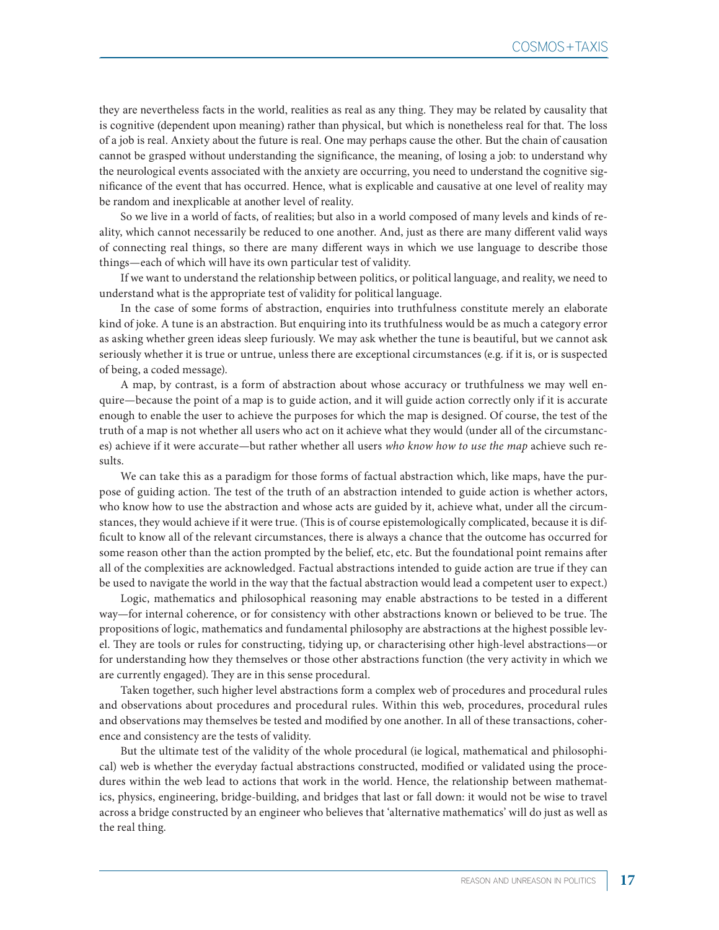they are nevertheless facts in the world, realities as real as any thing. They may be related by causality that is cognitive (dependent upon meaning) rather than physical, but which is nonetheless real for that. The loss of a job is real. Anxiety about the future is real. One may perhaps cause the other. But the chain of causation cannot be grasped without understanding the significance, the meaning, of losing a job: to understand why the neurological events associated with the anxiety are occurring, you need to understand the cognitive significance of the event that has occurred. Hence, what is explicable and causative at one level of reality may be random and inexplicable at another level of reality.

So we live in a world of facts, of realities; but also in a world composed of many levels and kinds of reality, which cannot necessarily be reduced to one another. And, just as there are many different valid ways of connecting real things, so there are many different ways in which we use language to describe those things—each of which will have its own particular test of validity.

If we want to understand the relationship between politics, or political language, and reality, we need to understand what is the appropriate test of validity for political language.

In the case of some forms of abstraction, enquiries into truthfulness constitute merely an elaborate kind of joke. A tune is an abstraction. But enquiring into its truthfulness would be as much a category error as asking whether green ideas sleep furiously. We may ask whether the tune is beautiful, but we cannot ask seriously whether it is true or untrue, unless there are exceptional circumstances (e.g. if it is, or is suspected of being, a coded message).

A map, by contrast, is a form of abstraction about whose accuracy or truthfulness we may well enquire—because the point of a map is to guide action, and it will guide action correctly only if it is accurate enough to enable the user to achieve the purposes for which the map is designed. Of course, the test of the truth of a map is not whether all users who act on it achieve what they would (under all of the circumstances) achieve if it were accurate—but rather whether all users *who know how to use the map* achieve such results.

We can take this as a paradigm for those forms of factual abstraction which, like maps, have the purpose of guiding action. The test of the truth of an abstraction intended to guide action is whether actors, who know how to use the abstraction and whose acts are guided by it, achieve what, under all the circumstances, they would achieve if it were true. (This is of course epistemologically complicated, because it is difficult to know all of the relevant circumstances, there is always a chance that the outcome has occurred for some reason other than the action prompted by the belief, etc, etc. But the foundational point remains after all of the complexities are acknowledged. Factual abstractions intended to guide action are true if they can be used to navigate the world in the way that the factual abstraction would lead a competent user to expect.)

Logic, mathematics and philosophical reasoning may enable abstractions to be tested in a different way—for internal coherence, or for consistency with other abstractions known or believed to be true. The propositions of logic, mathematics and fundamental philosophy are abstractions at the highest possible level. They are tools or rules for constructing, tidying up, or characterising other high-level abstractions—or for understanding how they themselves or those other abstractions function (the very activity in which we are currently engaged). They are in this sense procedural.

Taken together, such higher level abstractions form a complex web of procedures and procedural rules and observations about procedures and procedural rules. Within this web, procedures, procedural rules and observations may themselves be tested and modified by one another. In all of these transactions, coherence and consistency are the tests of validity.

But the ultimate test of the validity of the whole procedural (ie logical, mathematical and philosophical) web is whether the everyday factual abstractions constructed, modified or validated using the procedures within the web lead to actions that work in the world. Hence, the relationship between mathematics, physics, engineering, bridge-building, and bridges that last or fall down: it would not be wise to travel across a bridge constructed by an engineer who believes that 'alternative mathematics' will do just as well as the real thing.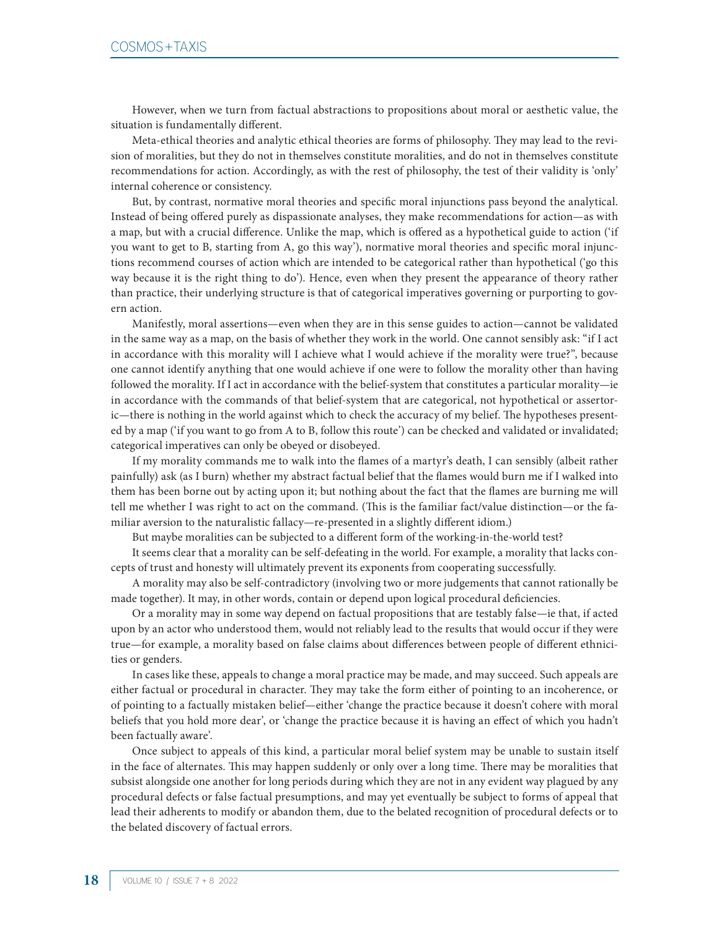However, when we turn from factual abstractions to propositions about moral or aesthetic value, the situation is fundamentally different.

Meta-ethical theories and analytic ethical theories are forms of philosophy. They may lead to the revision of moralities, but they do not in themselves constitute moralities, and do not in themselves constitute recommendations for action. Accordingly, as with the rest of philosophy, the test of their validity is 'only' internal coherence or consistency.

But, by contrast, normative moral theories and specific moral injunctions pass beyond the analytical. Instead of being offered purely as dispassionate analyses, they make recommendations for action—as with a map, but with a crucial difference. Unlike the map, which is offered as a hypothetical guide to action ('if you want to get to B, starting from A, go this way'), normative moral theories and specific moral injunctions recommend courses of action which are intended to be categorical rather than hypothetical ('go this way because it is the right thing to do'). Hence, even when they present the appearance of theory rather than practice, their underlying structure is that of categorical imperatives governing or purporting to govern action.

Manifestly, moral assertions—even when they are in this sense guides to action—cannot be validated in the same way as a map, on the basis of whether they work in the world. One cannot sensibly ask: "if I act in accordance with this morality will I achieve what I would achieve if the morality were true?", because one cannot identify anything that one would achieve if one were to follow the morality other than having followed the morality. If I act in accordance with the belief-system that constitutes a particular morality—ie in accordance with the commands of that belief-system that are categorical, not hypothetical or assertoric—there is nothing in the world against which to check the accuracy of my belief. The hypotheses presented by a map ('if you want to go from A to B, follow this route') can be checked and validated or invalidated; categorical imperatives can only be obeyed or disobeyed.

If my morality commands me to walk into the flames of a martyr's death, I can sensibly (albeit rather painfully) ask (as I burn) whether my abstract factual belief that the flames would burn me if I walked into them has been borne out by acting upon it; but nothing about the fact that the flames are burning me will tell me whether I was right to act on the command. (This is the familiar fact/value distinction—or the familiar aversion to the naturalistic fallacy—re-presented in a slightly different idiom.)

But maybe moralities can be subjected to a different form of the working-in-the-world test?

It seems clear that a morality can be self-defeating in the world. For example, a morality that lacks concepts of trust and honesty will ultimately prevent its exponents from cooperating successfully.

A morality may also be self-contradictory (involving two or more judgements that cannot rationally be made together). It may, in other words, contain or depend upon logical procedural deficiencies.

Or a morality may in some way depend on factual propositions that are testably false—ie that, if acted upon by an actor who understood them, would not reliably lead to the results that would occur if they were true—for example, a morality based on false claims about differences between people of different ethnicities or genders.

In cases like these, appeals to change a moral practice may be made, and may succeed. Such appeals are either factual or procedural in character. They may take the form either of pointing to an incoherence, or of pointing to a factually mistaken belief—either 'change the practice because it doesn't cohere with moral beliefs that you hold more dear', or 'change the practice because it is having an effect of which you hadn't been factually aware'.

Once subject to appeals of this kind, a particular moral belief system may be unable to sustain itself in the face of alternates. This may happen suddenly or only over a long time. There may be moralities that subsist alongside one another for long periods during which they are not in any evident way plagued by any procedural defects or false factual presumptions, and may yet eventually be subject to forms of appeal that lead their adherents to modify or abandon them, due to the belated recognition of procedural defects or to the belated discovery of factual errors.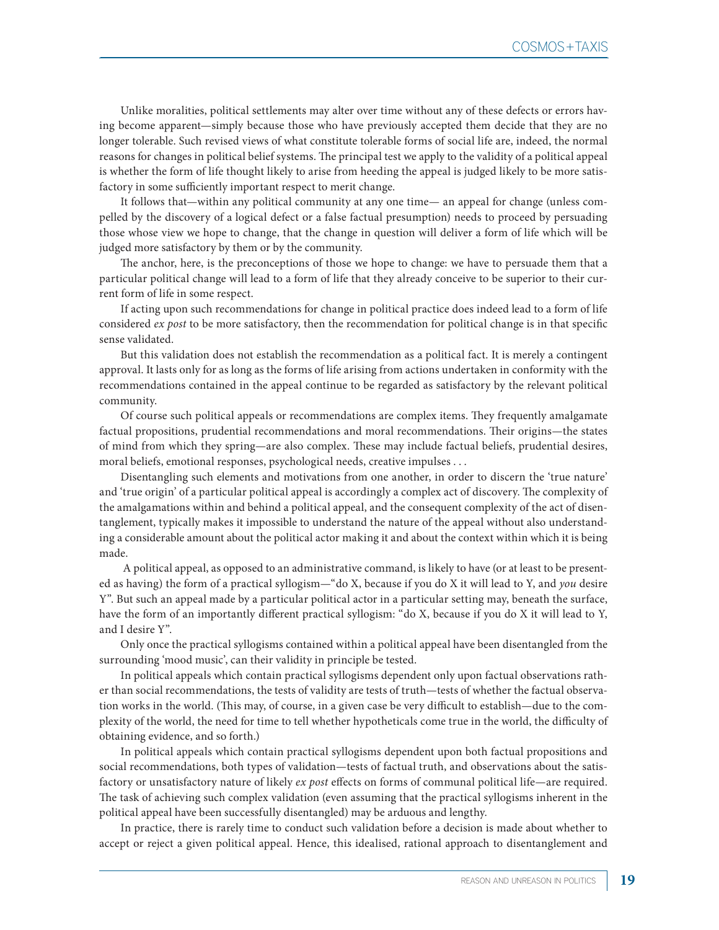Unlike moralities, political settlements may alter over time without any of these defects or errors having become apparent—simply because those who have previously accepted them decide that they are no longer tolerable. Such revised views of what constitute tolerable forms of social life are, indeed, the normal reasons for changes in political belief systems. The principal test we apply to the validity of a political appeal is whether the form of life thought likely to arise from heeding the appeal is judged likely to be more satisfactory in some sufficiently important respect to merit change.

It follows that—within any political community at any one time— an appeal for change (unless compelled by the discovery of a logical defect or a false factual presumption) needs to proceed by persuading those whose view we hope to change, that the change in question will deliver a form of life which will be judged more satisfactory by them or by the community.

The anchor, here, is the preconceptions of those we hope to change: we have to persuade them that a particular political change will lead to a form of life that they already conceive to be superior to their current form of life in some respect.

If acting upon such recommendations for change in political practice does indeed lead to a form of life considered *ex post* to be more satisfactory, then the recommendation for political change is in that specific sense validated.

But this validation does not establish the recommendation as a political fact. It is merely a contingent approval. It lasts only for as long as the forms of life arising from actions undertaken in conformity with the recommendations contained in the appeal continue to be regarded as satisfactory by the relevant political community.

Of course such political appeals or recommendations are complex items. They frequently amalgamate factual propositions, prudential recommendations and moral recommendations. Their origins—the states of mind from which they spring—are also complex. These may include factual beliefs, prudential desires, moral beliefs, emotional responses, psychological needs, creative impulses . . .

Disentangling such elements and motivations from one another, in order to discern the 'true nature' and 'true origin' of a particular political appeal is accordingly a complex act of discovery. The complexity of the amalgamations within and behind a political appeal, and the consequent complexity of the act of disentanglement, typically makes it impossible to understand the nature of the appeal without also understanding a considerable amount about the political actor making it and about the context within which it is being made.

 A political appeal, as opposed to an administrative command, is likely to have (or at least to be presented as having) the form of a practical syllogism—"do X, because if you do X it will lead to Y, and *you* desire Y". But such an appeal made by a particular political actor in a particular setting may, beneath the surface, have the form of an importantly different practical syllogism: "do X, because if you do X it will lead to Y, and I desire Y".

Only once the practical syllogisms contained within a political appeal have been disentangled from the surrounding 'mood music', can their validity in principle be tested.

In political appeals which contain practical syllogisms dependent only upon factual observations rather than social recommendations, the tests of validity are tests of truth—tests of whether the factual observation works in the world. (This may, of course, in a given case be very difficult to establish—due to the complexity of the world, the need for time to tell whether hypotheticals come true in the world, the difficulty of obtaining evidence, and so forth.)

In political appeals which contain practical syllogisms dependent upon both factual propositions and social recommendations, both types of validation—tests of factual truth, and observations about the satisfactory or unsatisfactory nature of likely *ex post* effects on forms of communal political life—are required. The task of achieving such complex validation (even assuming that the practical syllogisms inherent in the political appeal have been successfully disentangled) may be arduous and lengthy.

In practice, there is rarely time to conduct such validation before a decision is made about whether to accept or reject a given political appeal. Hence, this idealised, rational approach to disentanglement and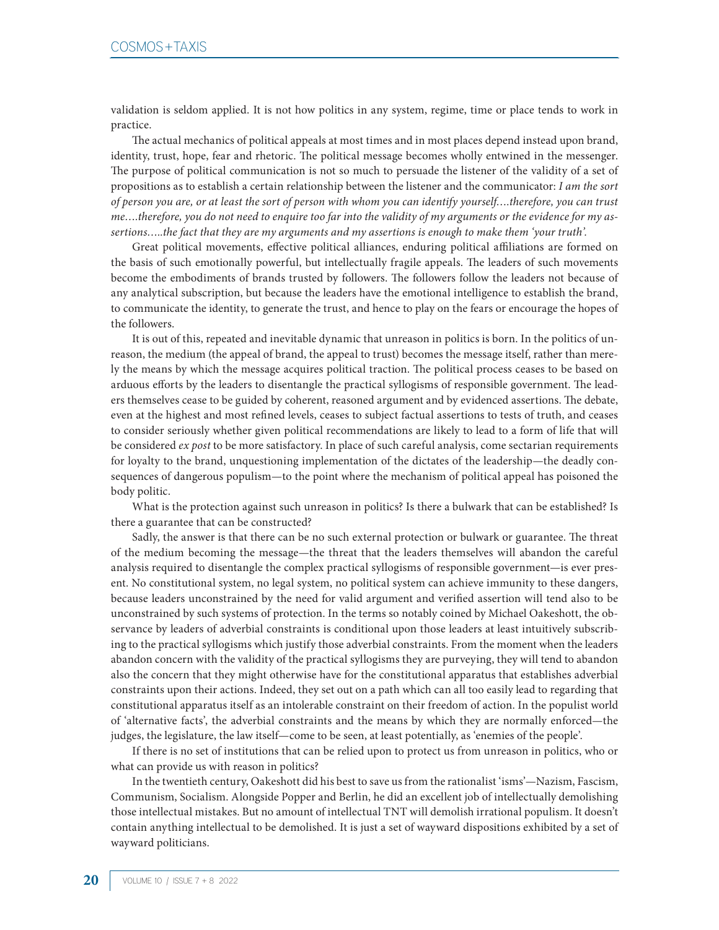validation is seldom applied. It is not how politics in any system, regime, time or place tends to work in practice.

The actual mechanics of political appeals at most times and in most places depend instead upon brand, identity, trust, hope, fear and rhetoric. The political message becomes wholly entwined in the messenger. The purpose of political communication is not so much to persuade the listener of the validity of a set of propositions as to establish a certain relationship between the listener and the communicator: *I am the sort of person you are, or at least the sort of person with whom you can identify yourself….therefore, you can trust me….therefore, you do not need to enquire too far into the validity of my arguments or the evidence for my assertions…..the fact that they are my arguments and my assertions is enough to make them 'your truth'.*

Great political movements, effective political alliances, enduring political affiliations are formed on the basis of such emotionally powerful, but intellectually fragile appeals. The leaders of such movements become the embodiments of brands trusted by followers. The followers follow the leaders not because of any analytical subscription, but because the leaders have the emotional intelligence to establish the brand, to communicate the identity, to generate the trust, and hence to play on the fears or encourage the hopes of the followers.

It is out of this, repeated and inevitable dynamic that unreason in politics is born. In the politics of unreason, the medium (the appeal of brand, the appeal to trust) becomes the message itself, rather than merely the means by which the message acquires political traction. The political process ceases to be based on arduous efforts by the leaders to disentangle the practical syllogisms of responsible government. The leaders themselves cease to be guided by coherent, reasoned argument and by evidenced assertions. The debate, even at the highest and most refined levels, ceases to subject factual assertions to tests of truth, and ceases to consider seriously whether given political recommendations are likely to lead to a form of life that will be considered *ex post* to be more satisfactory. In place of such careful analysis, come sectarian requirements for loyalty to the brand, unquestioning implementation of the dictates of the leadership—the deadly consequences of dangerous populism—to the point where the mechanism of political appeal has poisoned the body politic.

What is the protection against such unreason in politics? Is there a bulwark that can be established? Is there a guarantee that can be constructed?

Sadly, the answer is that there can be no such external protection or bulwark or guarantee. The threat of the medium becoming the message—the threat that the leaders themselves will abandon the careful analysis required to disentangle the complex practical syllogisms of responsible government—is ever present. No constitutional system, no legal system, no political system can achieve immunity to these dangers, because leaders unconstrained by the need for valid argument and verified assertion will tend also to be unconstrained by such systems of protection. In the terms so notably coined by Michael Oakeshott, the observance by leaders of adverbial constraints is conditional upon those leaders at least intuitively subscribing to the practical syllogisms which justify those adverbial constraints. From the moment when the leaders abandon concern with the validity of the practical syllogisms they are purveying, they will tend to abandon also the concern that they might otherwise have for the constitutional apparatus that establishes adverbial constraints upon their actions. Indeed, they set out on a path which can all too easily lead to regarding that constitutional apparatus itself as an intolerable constraint on their freedom of action. In the populist world of 'alternative facts', the adverbial constraints and the means by which they are normally enforced—the judges, the legislature, the law itself—come to be seen, at least potentially, as 'enemies of the people'.

If there is no set of institutions that can be relied upon to protect us from unreason in politics, who or what can provide us with reason in politics?

In the twentieth century, Oakeshott did his best to save us from the rationalist 'isms'—Nazism, Fascism, Communism, Socialism. Alongside Popper and Berlin, he did an excellent job of intellectually demolishing those intellectual mistakes. But no amount of intellectual TNT will demolish irrational populism. It doesn't contain anything intellectual to be demolished. It is just a set of wayward dispositions exhibited by a set of wayward politicians.